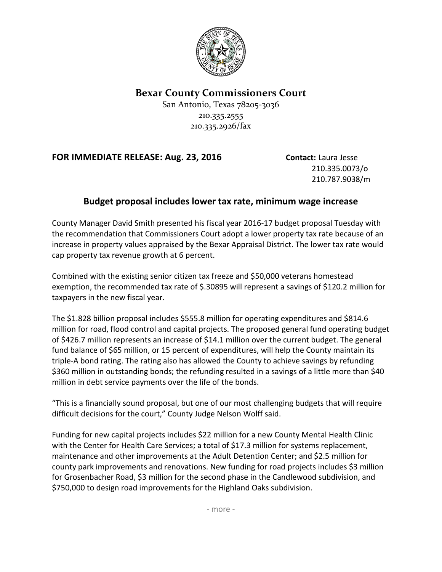

## **Bexar County Commissioners Court**

San Antonio, Texas 78205-3036 210.335.2555 210.335.2926/fax

## **FOR IMMEDIATE RELEASE: Aug. 23, 2016 Contact:** Laura Jesse

210.335.0073/o 210.787.9038/m

## **Budget proposal includes lower tax rate, minimum wage increase**

County Manager David Smith presented his fiscal year 2016-17 budget proposal Tuesday with the recommendation that Commissioners Court adopt a lower property tax rate because of an increase in property values appraised by the Bexar Appraisal District. The lower tax rate would cap property tax revenue growth at 6 percent.

Combined with the existing senior citizen tax freeze and \$50,000 veterans homestead exemption, the recommended tax rate of \$.30895 will represent a savings of \$120.2 million for taxpayers in the new fiscal year.

The \$1.828 billion proposal includes \$555.8 million for operating expenditures and \$814.6 million for road, flood control and capital projects. The proposed general fund operating budget of \$426.7 million represents an increase of \$14.1 million over the current budget. The general fund balance of \$65 million, or 15 percent of expenditures, will help the County maintain its triple-A bond rating. The rating also has allowed the County to achieve savings by refunding \$360 million in outstanding bonds; the refunding resulted in a savings of a little more than \$40 million in debt service payments over the life of the bonds.

"This is a financially sound proposal, but one of our most challenging budgets that will require difficult decisions for the court," County Judge Nelson Wolff said.

Funding for new capital projects includes \$22 million for a new County Mental Health Clinic with the Center for Health Care Services; a total of \$17.3 million for systems replacement, maintenance and other improvements at the Adult Detention Center; and \$2.5 million for county park improvements and renovations. New funding for road projects includes \$3 million for Grosenbacher Road, \$3 million for the second phase in the Candlewood subdivision, and \$750,000 to design road improvements for the Highland Oaks subdivision.